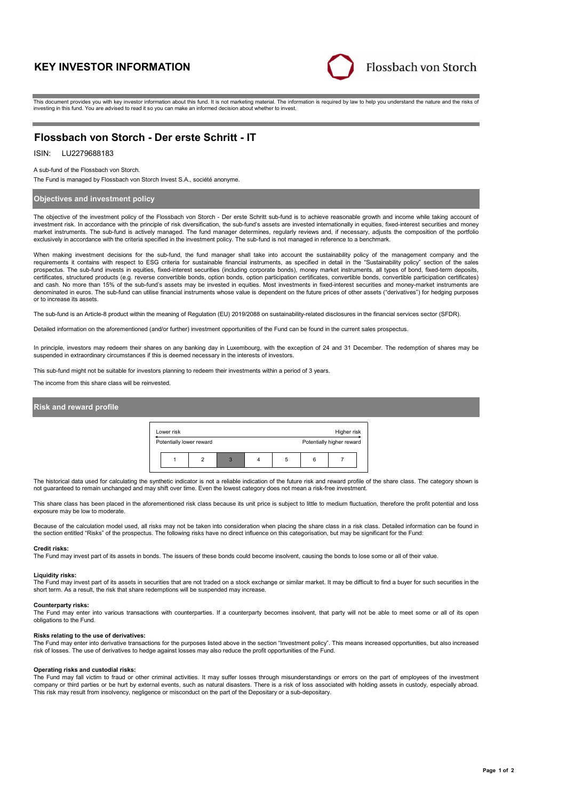# **KEY INVESTOR INFORMATION**



This document provides you with key investor information about this fund. It is not marketing material. The information is required by law to help you understand the nature and the risks of investing in this fund. You are advised to read it so you can make an informed decision about whether to invest.

# **Flossbach von Storch - Der erste Schritt - IT**

# ISIN: LU2279688183

A sub-fund of the Flossbach von Storch.

The Fund is managed by Flossbach von Storch Invest S.A., société anonyme.

## **Objectives and investment policy**

The objective of the investment policy of the Flossbach von Storch - Der erste Schritt sub-fund is to achieve reasonable growth and income while taking account of investment risk. In accordance with the principle of risk diversification, the sub-fund's assets are invested internationally in equities, fixed-interest securities and money market instruments. The sub-fund is actively managed. The fund manager determines, regularly reviews and, if necessary, adjusts the composition of the portfolio exclusively in accordance with the criteria specified in the investment policy. The sub-fund is not managed in reference to a benchmark.

When making investment decisions for the sub-fund, the fund manager shall take into account the sustainability policy of the management company and the<br>requirements it contains with respect to ESG criteria for sustainable certificates, structured products (e.g. reverse convertible bonds, option bonds, option participation certificates, convertible bonds, convertible participation certificates) and cash. No more than 15% of the sub-fund's assets may be invested in equities. Most investments in fixed-interest securities and money-market instruments are denominated in euros. The sub-fund can utilise financial instruments whose value is dependent on the future prices of other assets ("derivatives") for hedging purposes or to increase its assets.

The sub-fund is an Article-8 product within the meaning of Regulation (EU) 2019/2088 on sustainability-related disclosures in the financial services sector (SFDR).

Detailed information on the aforementioned (and/or further) investment opportunities of the Fund can be found in the current sales prospectus.

In principle, investors may redeem their shares on any banking day in Luxembourg, with the exception of 24 and 31 December. The redemption of shares may be suspended in extraordinary circumstances if this is deemed necessary in the interests of investors.

This sub-fund might not be suitable for investors planning to redeem their investments within a period of 3 years

The income from this share class will be reinvested.

### **Risk and reward profile**



The historical data used for calculating the synthetic indicator is not a reliable indication of the future risk and reward profile of the share class. The category shown is not guaranteed to remain unchanged and may shift over time. Even the lowest category does not mean a risk-free investment.

This share class has been placed in the aforementioned risk class because its unit price is subject to little to medium fluctuation, therefore the profit potential and loss exposure may be low to moderate.

Because of the calculation model used, all risks may not be taken into consideration when placing the share class in a risk class. Detailed information can be found in the section entitled "Risks" of the prospectus. The following risks have no direct influence on this categorisation, but may be significant for the Fund:

#### **Credit risks:**

The Fund may invest part of its assets in bonds. The issuers of these bonds could become insolvent, causing the bonds to lose some or all of their value.

#### **Liquidity risks:**

The Fund may invest part of its assets in securities that are not traded on a stock exchange or similar market. It may be difficult to find a buyer for such securities in the short term. As a result, the risk that share redemptions will be suspended may increase.

#### **Counterparty risks:**

The Fund may enter into various transactions with counterparties. If a counterparty becomes insolvent, that party will not be able to meet some or all of its open obligations to the Fund.

#### **Risks relating to the use of derivatives:**

The Fund may enter into derivative transactions for the purposes listed above in the section "Investment policy". This means increased opportunities, but also increased risk of losses. The use of derivatives to hedge against losses may also reduce the profit opportunities of the Fund.

#### **Operating risks and custodial risks:**

The Fund may fall victim to fraud or other criminal activities. It may suffer losses through misunderstandings or errors on the part of employees of the investment company or third parties or be hurt by external events, such as natural disasters. There is a risk of loss associated with holding assets in custody, especially abroad. This risk may result from insolvency, negligence or misconduct on the part of the Depositary or a sub-depositary.